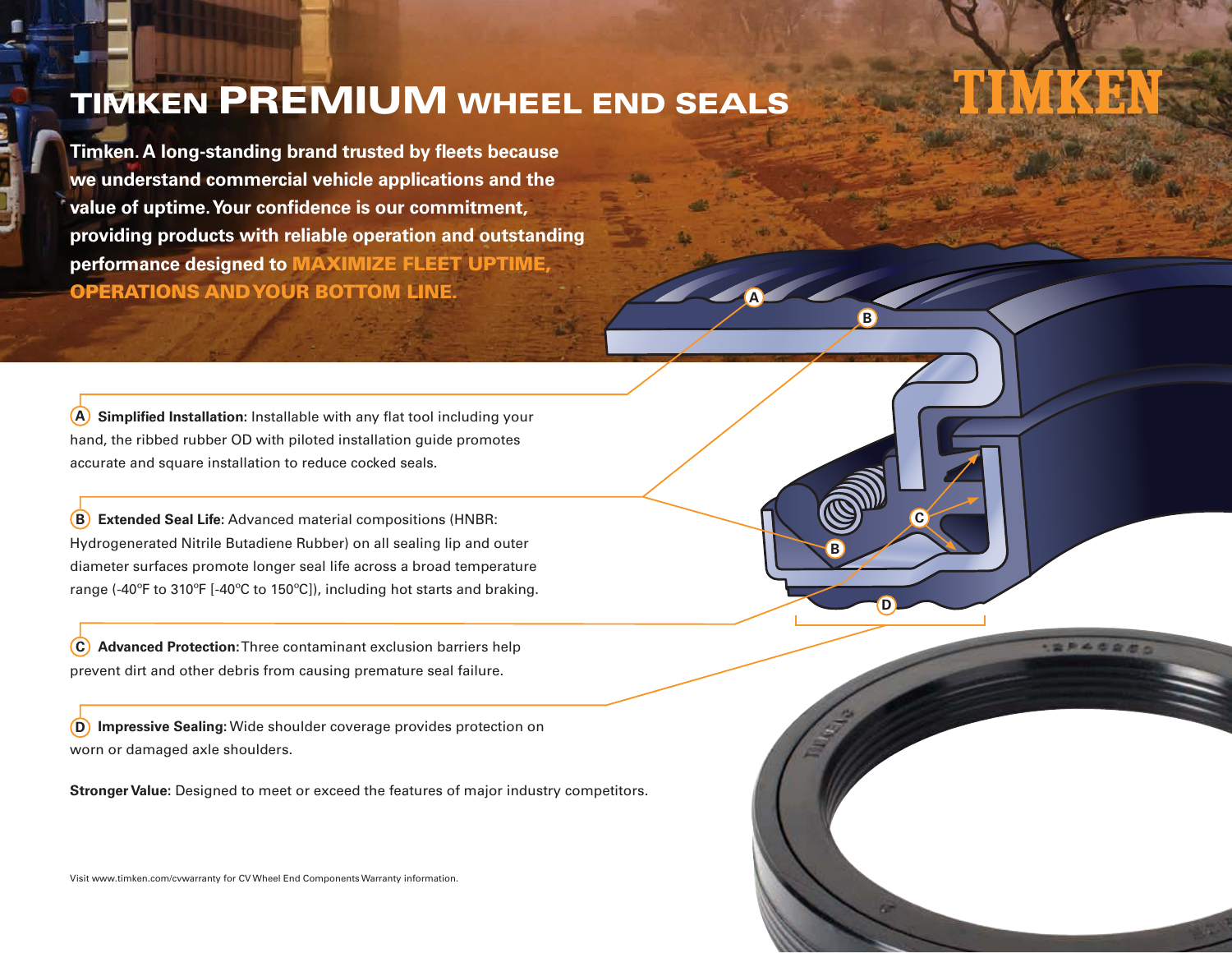## TIMKEN PREMIUM WHEEL END SEALS

**A**

**D**

**C**

20402

**B**

**B**

**Timken. A long-standing brand trusted by fleets because we understand commercial vehicle applications and the value of uptime. Your confidence is our commitment, providing products with reliable operation and outstanding performance designed to** MAXIMIZE FLEET UPTIME, OPERATIONS AND YOUR BOTTOM LINE.

**Simplified Installation:** Installable with any flat tool including your hand, the ribbed rubber OD with piloted installation guide promotes accurate and square installation to reduce cocked seals. **A**

**Extended Seal Life:** Advanced material compositions (HNBR: Hydrogenerated Nitrile Butadiene Rubber) on all sealing lip and outer diameter surfaces promote longer seal life across a broad temperature range (-40ºF to 310ºF [-40ºC to 150ºC]), including hot starts and braking. **B**

**Advanced Protection:** Three contaminant exclusion barriers help prevent dirt and other debris from causing premature seal failure. **C**

**Impressive Sealing:** Wide shoulder coverage provides protection on worn or damaged axle shoulders. **D**

**Stronger Value:** Designed to meet or exceed the features of major industry competitors.

Visit www.timken.com/cvwarranty for CV Wheel End Components Warranty information.